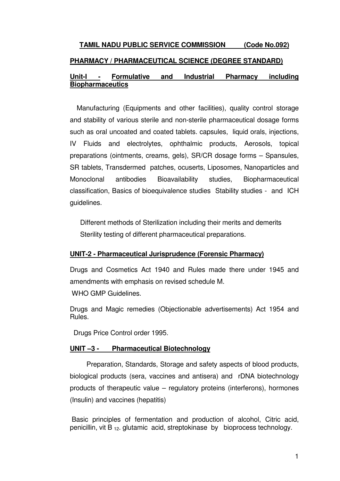# **TAMIL NADU PUBLIC SERVICE COMMISSION (Code No.092) PHARMACY / PHARMACEUTICAL SCIENCE (DEGREE STANDARD) Unit-I - Formulative and Industrial Pharmacy including Biopharmaceutics**

Manufacturing (Equipments and other facilities), quality control storage and stability of various sterile and non-sterile pharmaceutical dosage forms such as oral uncoated and coated tablets. capsules, liquid orals, injections, IV Fluids and electrolytes, ophthalmic products, Aerosols, topical preparations (ointments, creams, gels), SR/CR dosage forms – Spansules, SR tablets, Transdermed patches, ocuserts, Liposomes, Nanoparticles and Monoclonal antibodies Bioavailability studies, Biopharmaceutical classification, Basics of bioequivalence studies Stability studies - and ICH guidelines.

Different methods of Sterilization including their merits and demerits Sterility testing of different pharmaceutical preparations.

## **UNIT-2 - Pharmaceutical Jurisprudence (Forensic Pharmacy)**

Drugs and Cosmetics Act 1940 and Rules made there under 1945 and amendments with emphasis on revised schedule M.

WHO GMP Guidelines.

Drugs and Magic remedies (Objectionable advertisements) Act 1954 and Rules.

Drugs Price Control order 1995.

# **UNIT –3 - Pharmaceutical Biotechnology**

 Preparation, Standards, Storage and safety aspects of blood products, biological products (sera, vaccines and antisera) and rDNA biotechnology products of therapeutic value – regulatory proteins (interferons), hormones (Insulin) and vaccines (hepatitis)

 Basic principles of fermentation and production of alcohol, Citric acid, penicillin, vit B  $_{12}$ . glutamic acid, streptokinase by bioprocess technology.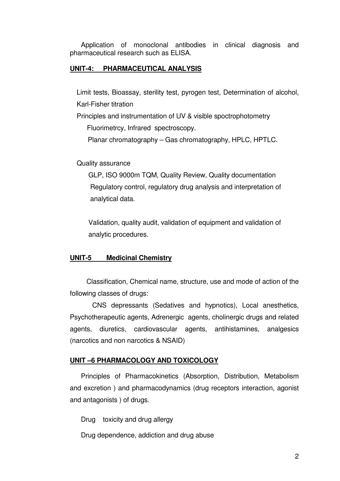Application of monoclonal antibodies in clinical diagnosis and pharmaceutical research such as ELISA.

## **UNIT-4: PHARMACEUTICAL ANALYSIS**

Limit tests, Bioassay, sterility test, pyrogen test, Determination of alcohol, Karl-Fisher titration

Principles and instrumentation of UV & visible spoctrophotometry Fluorimetrcy, Infrared spectroscopy.

Planar chromatography – Gas chromatography, HPLC, HPTLC.

Quality assurance

 GLP, ISO 9000m TQM, Quality Review, Quality documentation Regulatory control, regulatory drug analysis and interpretation of analytical data.

 Validation, quality audit, validation of equipment and validation of analytic procedures.

#### **UNIT-5 Medicinal Chemistry**

 Classification, Chemical name, structure, use and mode of action of the following classes of drugs:

 CNS depressants (Sedatives and hypnotics), Local anesthetics, Psychotherapeutic agents, Adrenergic agents, cholinergic drugs and related agents, diuretics, cardiovascular agents, antihistamines, analgesics (narcotics and non narcotics & NSAID)

#### **UNIT –6 PHARMACOLOGY AND TOXICOLOGY**

 Principles of Pharmacokinetics (Absorption, Distribution, Metabolism and excretion ) and pharmacodynamics (drug receptors interaction, agonist and antagonists ) of drugs.

Drug toxicity and drug allergy

Drug dependence, addiction and drug abuse